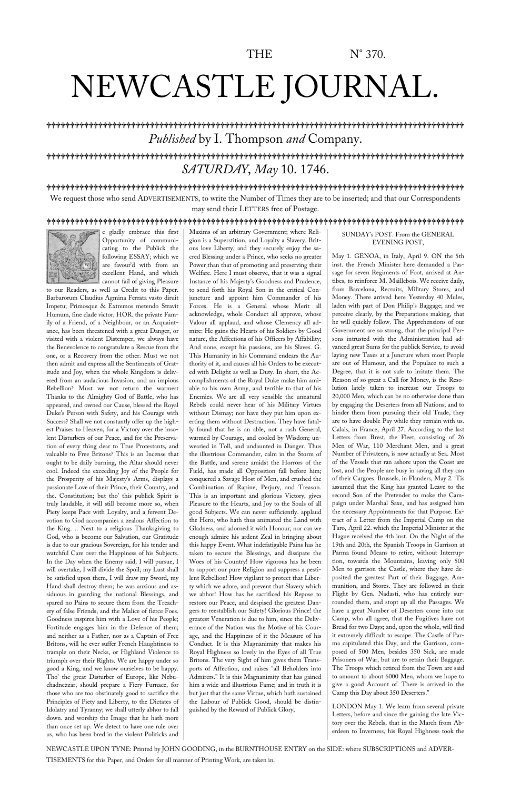# NEWCASTLE JOURNAL.

lllllllllllllllllllllllllllllllllllllllllllllllllllllllllllllllllllllllllllllllllllllllll *Published* by I. Thompson *and* Company.

## lllllllllllllllllllllllllllllllllllllllllllllllllllllllllllllllllllllllllllllllllllllllll *SATURDAY*, *May* 10. 1746.

### lllllllllllllllllllllllllllllllllllllllllllllllllllllllllllllllllllllllllllllllllllllllll

We request those who send ADVERTISEMENTS, to write the Number of Times they are to be inserted; and that our Correspondents may send their LETTERS free of Postage.

#### lllllllllllllllllllllllllllllllllllllllllllllllllllllllllllllllllllllllllllllllllllllllll



e gladly embrace this first Opportunity of communicating to the Publick the following ESSAY; which we are favour'd with from an excellent Hand, and which cannot fail of giving Pleasure

to our Readers, as well as Credit to this Paper. Barbarorum Claudius Agmina Ferrata vasto diruit Impetu; Primosque & Extremos metendo Stravit Humum, fine clade victor, HOR. the private Family of a Friend, of a Neighbour, or an Acquaintance, has been threatened with a great Danger, or visited with a violent Distemper, we always have the Benevolence to congratulate a Rescue from the one, or a Recovery from the other. Must we not then admit and express all the Sentiments of Gratitude and Joy, when the whole Kingdom is delivered from an audacious Invasion, and an impious Rebellion? Must we not return the warmest Thanks to the Almighty God of Battle, who has appeared, and owned our Cause, blessed the Royal Duke's Person with Safety, and his Courage with Success? Shall we not constantly offer up the highest Praises to Heaven, for a Victory over the insolent Disturbers of our Peace, and for the Preservation of every thing dear to True Protestants, and valuable to Free Britons? This is an Incense that ought to be daily burning, the Altar should never cool. Indeed the exceeding Joy of the People for the Prosperity of his Majesty's Arms, displays a passionate Love of their Prince, their Country, and the. Constitution; but tho' this publick Spirit is truly laudable, it will still become more so, when Piety keeps Pace with Loyalty, and a fervent Devotion to God accompanies a zealous Affection to the King. .. Next to a religious Thanksgiving to God, who is become our Salvation, our Gratitude is due to our gracious Sovereign, for his tender and watchful Care over the Happiness of his Subjects. In the Day when the Enemy said, I will pursue, I will overtake, I will divide the Spoil; my Lust shall be satisfied upon them, I will draw my Sword, my Hand shall destroy them; he was anxious and assiduous in guarding the national Blessings, and spared no Pains to secure them from the Treachery of false Friends, and the Malice of fierce Foes. Goodness inspires him with a Love of his People; Fortitude engages him in the Defence of them; and neither as a Father, nor as a Captain of Free Britons, will he ever suffer French Haughtiness to trample on their Necks, or Highland Violence to triumph over their Rights. We are happy under so good a King, and we know ourselves to be happy. Tho' the great Disturber of Europe, like Nebuchadnezzar, should prepare a Fiery Furnace, for those who are too obstinately good to sacrifice the Principles of Piety and Liberty, to the Dictates of Idolatry and Tyranny; we shall utterly abhor to fall down. and worship the Image that he hath more than once set up. We detect to have one rule over us, who has been bred in the violent Politicks and

Maxims of an arbitrary Government; where Religion is a Superstition, and Loyalty a Slavery. Britons love Liberty, and they securely enjoy the sacred Blessing under a Prince, who seeks no greater Power than that of promoting and preserving their Welfare. Here I must observe, that it was a signal Instance of his Majesty's Goodness and Prudence, to send forth his Royal Son in the critical Conjuncture and appoint him Commander of his Forces. He is a General whose Merit all acknowledge, whole Conduct all approve, whose Valour all applaud, and whose Clemency all admire: He gains the Hearts of his Soldiers by Good nature, the Affections of his Officers by Affability; And none, except his passions, are his Slaves. G. This Humanity in his Command endears the Authority of it, and causes all his Orders to be executed with Delight as well as Duty. In short, the Accomplishments of the Royal Duke make him amiable to his own Army, and terrible to that of his Enemies. We are all very sensible the unnatural Rebels could never hear of his Military Virtues without Dismay; nor have they put him upon exerting them without Destruction. They have fatally found that he is an able, not a rash General, warmed by Courage, and cooled by Wisdom; unwearied in Toll, and undaunted in Danger. Thus the illustrious Commander, calm in the Storm of the Battle, and serene amidst the Horrors of the Field, has made all Opposition fall before him; conquered a Savage Host of Men, and crushed the Combination of Rapine, Perjury, and Treason. This is an important and glorious Victory, gives Pleasure to the Hearts, and Joy to the Souls of all good Subjects. We can never sufficiently. applaud the Hero, who hath thus animated the Land with Gladness, and adorned it with Honour; nor can we enough admire his ardent Zeal in bringing about this happy Event. What indefatigable Pains has he taken to secure the Blessings, and dissipate the Woes of his Country! How vigorous has he been to support our pure Religion and suppress a pestilent Rebellion! How vigilant to protect that Liberty which we adore, and prevent that Slavery which we abhor! How has he sacrificed his Repose to restore our Peace, and despised the greatest Dangers to reestablish our Safety! Glorious Prince! the greatest Veneration is due to him, since the Deliverance of the Nation was the Motive of his Courage, and the Happiness of it the Measure of his Conduct. It is this Magnanimity that makes his Royal Highness so lovely in the Eyes of all True Britons. The very Sight of him gives them Transports of Affection, and raises "all Beholders into Admirers." It is this Magnanimity that has gained him a wide and illustrious Fame; and in truth it is but just that the same Virtue, which hath sustained the Labour of Publick Good, should be distinguished by the Reward of Publick Glory,

SUNDAY's POST. From the GENERAL EVENING POST,

May 1. GENOA, in Italy, April 9. ON the 5th inst. the French Minister here demanded a Passage for seven Regiments of Foot, arrived at Antibes, to reinforce M. Maillebois. We receive daily, from Barcelona, Recruits, Military Stores, and Money. There arrived here Yesterday 40 Mules, laden with part of Don Philip's Baggage; and we perceive clearly, by the Preparations making, that he will quickly follow. The Apprehensions of our Government are so strong, that the principal Persons intrusted with the Administration had advanced great Sums for the publick Service, to avoid laying new Taxes at a Juncture when most People are out of Humour, and the Populace to such a Degree, that it is not safe to irritate them. The Reason of so great a Call for Money, is the Resolution lately taken to increase our Troops to 20,000 Men, which can be no otherwise done than by engaging the Deserters from all Nations; and to hinder them from pursuing their old Trade, they are to have double Pay while they remain with us. Calais, in France, April 27. According to the last Letters from Brest, the Fleet, consisting of 26 Men of War, 110 Merchant Men, and a great Number of Privateers, is now actually at Sea. Most of the Vessels that ran ashore upon the Coast are lost, and the People are busy in saving all they can of their Cargoes. Brussels, in Flanders, May 2. 'Tis assumed that the King has granted Leave to the second Son of the Pretender to make the Campaign under Marshal Saxe, and has assigned him the necessary Appointments for that Purpose. Extract of a Letter from the Imperial Camp on the Taro, April 22. which the Imperial Minister at the Hague received the 4th inst. On the Night of the 19th and 20th, the Spanish Troops in Garrison at Parma found Means to retire, without Interruption, towards the Mountains, leaving only 500 Men to garrison the Castle, where they have deposited the greatest Part of their Baggage, Ammunition, and Stores. They are followed in their Flight by Gen. Nadasti, who has entirely surrounded them, and stopt up all the Passages. We have a great Number of Deserters come into our Camp, who all agree, that the Fugitives have not Bread for two Days; and, upon the whole, will find it extremely difficult to escape. The Castle of Parma capitulated this Day, and the Garrison, composed of 500 Men, besides 350 Sick, are made Prisoners of War, but are to retain their Baggage. The Troops which retired from the Town are said to amount to about 6000 Men, whom we hope to give a good Account of. There is arrived in the Camp this Day about 350 Deserters."

LONDON May 1. We learn from several private Letters, before and since the gaining the late Victory over the Rebels, that in the March from Aberdeen to Inverness, his Royal Highness took the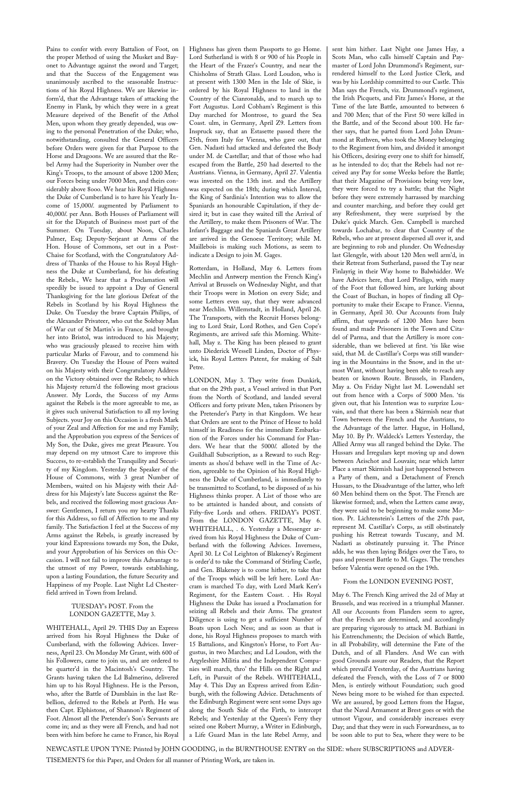Pains to confer with every Battalion of Foot, on the proper Method of using the Musket and Bayonet to Advantage against the sword and Target; and that the Success of the Engagement was unanimously ascribed to the seasonable Instructions of his Royal Highness. We are likewise inform'd, that the Advantage taken of attacking the Enemy in Flank, by which they were in a great Measure deprived of the Benefit of the Athol Men, upon whom they greatly depended, was owing to the personal Penetration of the Duke; who, notwithstanding, consulted the General Officers before Orders were given for that Purpose to the Horse and Dragoons. We are assured that the Rebel Army had the Superiority in Number over the King's Troops, to the amount of above 1200 Men; our Forces being under 7000 Men, and theirs considerably above 8ooo. We hear his Royal Highness the Duke of Cumberland is to have his Yearly Income of 15,000*l*. augmented by Parliament to 40,000*l*. per Ann. Both Houses of Parliament will sit for the Dispatch of Business most part of the Summer. On Tuesday, about Noon, Charles Palmer, Esq; Deputy-Serjeant at Arms of the Hon. House of Commons, set out in a Post-Chaise for Scotland, with the Congratulatory Address of Thanks of the House to his Royal Highness the Duke at Cumberland, for his defeating the Rebels., We hear that a Proclamation will speedily be issued to appoint a Day of General Thanksgiving for the late glorious Defeat of the Rebels in Scotland by his Royal Highness the Duke. On Tuesday the brave Captain Philips, of the Alexander Privateer, who cut the Solebay Man of War cut of St Martin's in France, and brought her into Bristol, was introduced to his Majesty; who was graciously pleased to receive him with particular Marks of Favour, and to commend his Bravery. On Tuesday the House of Peers waited on his Majesty with their Congratulatory Address on the Victory obtained over the Rebels; to which his Majesty return'd the following most gracious Answer. My Lords, the Success of my Arms against the Rebels is the more agreeable to me, as it gives such universal Satisfaction to all my loving Subjects. your Joy on this Occasion is a fresh Mark of your Zeal and Affection for me and my Family; and the Approbation you express of the Services of My Son, the Duke, gives me great Pleasure. You may depend on my utmost Care to improve this Success, to re-establish the Tranquility and Security of my Kingdom. Yesterday the Speaker of the House of Commons, with 3 great Number of Members, waited on his Majesty with their Address for his Majesty's late Success against the Rebels, and received the following most gracious Answer: Gentlemen, I return you my hearty Thanks for this Address, so full of Affection to me and my family. The Satisfaction I feel at the Success of my Arms against the Rebels, is greatly increased by your kind Expressions towards my Son, the Duke, and your Approbation of his Services on this Occasion. I will not fail to improve this Advantage to the utmost of my Power, towards establishing, upon a lasting Foundation, the future Security and

Happiness of my People. Last Night Ld Chesterfield arrived in Town from Ireland.

#### TUESDAY's POST. From the LONDON GAZETTE, May 3.

WHITEHALL, April 29. THIS Day an Express arrived from his Royal Highness the Duke of Cumberland, with the following Advices. Inverness, April 23. On Monday Mr Grant, with 600 of his Followers, came to join us, and are ordered to be quarter'd in the Macintosh's Country. The Grants having taken the Ld Balmerino, delivered him up to his Royal Highness. He is the Person, who, after the Battle of Dumblain in the last Rebellion, deferred to the Rebels at Perth. He was then Capt. Elphistone, of Shannon's Regiment of Foot. Almost all the Pretender's Son's Servants are come in; and as they were all French, and had not been with him before he came to France, his Royal

Highness has given them Passports to go Home. Lord Sutherland is with 8 or 900 of his People in the Heart of the Frazer's Country, and near the Chisholms of Strath Glass. Lord Loudon, who is at present with 1300 Men in the Isle of Skie, is ordered by his Royal Highness to land in the Country of the Cianronalds, and to march up to Fort Augustus. Lord Cobham's Regiment is this Day marched for Montrose, to guard the Sea Coast. ulm, in Germany, April Z9. Letters from Inspruck say, that an Estasette passed there the 25th, from Italy for Vienna, who gave out, that Gen. Nadasti had attacked and defeated the Body under M. de Castellar; and that of those who had escaped from the Battle, 250 had deserted to the Austrians. Vienna, in Germany, April 27. Valentia was invested on the 13th inst. and the Artillery was expected on the 18th; during which Interval, the King of Sardinia's Intention was to allow the Spaniards an honourable Capitulation, if they desired it; but in case they waited till the Arrival of the Artillery, to make them Prisoners of War. The Infant's Baggage and the Spaniards Great Artillery are arrived in the Genoese Territory; while M. Maillebois is making such Motions, as seem to indicate a Design to join M. Gages.

Rotterdam, in Holland, May 6. Letters from Mechlin and Antwerp mention the French King's Arrival at Brussels on Wednesday Night, and that their Troops were in Motion on every Side; and some Letters even say, that they were advanced near Mechlin. Willemstadt, in Holland, April 26. The Transports, with the Recruit Horses belonging to Lord Stair, Lord Rothes, and Gen Cope's Regiments, are arrived safe this Morning. Whitehall, May z. The King has been pleased to grant unto Diederick Wessell Linden, Doctor of Physick, his Royal Letters Patent, for making of Salt Petre.

LONDON, May 3. They write from Dunkirk, that on the 29th past, a Vessel arrived in that Port from the North of Scotland, and landed several Officers and forty private Men, taken Prisoners by the Pretender's Party in that Kingdom. We hear that Orders are sent to the Prince of Hesse to hold himself in Readiness for the immediate Embarkation of the Forces under his Command for Flanders. We hear that the 5000*l*. alloted by the Guildhall Subscription, as a Reward to such Regiments as shou'd behave well in the Time of Action, agreeable to the Opinion of his Royal Highness the Duke of Cumberland, is immediately to be transmitted to Scotland, to be disposed of as his Highness thinks proper. A List of those who are to be attainted is handed about, and consists of Fifty-five Lords and others. FRIDAY's POST. From the LONDON GAZETTE, May 6. WHITEHALL, . 6. Yesterday a Messenger arrived from his Royal Highness the Duke of Cumberland with the following Advices. Inverness, April 30. Lt Col Leighton of Blakeney's Regiment is order'd to take the Command of Stirling Castle, and Gen. Blakeney is to come hither, to take that of the Troops which will be left here. Lord Ancram is marched To day, with Lord Mark Kerr's Regiment, for the Eastern Coast. . His Royal Highness the Duke has issued a Proclamation for seizing all Rebels and their Arms. The greatest Diligence is using to get a sufficient Number of Boats upon Loch Ness; and as soon as that is done, his Royal Highness proposes to march with 15 Battalions, and Kingston's Horse, to Fort Augustus, in two Marches; and Ld Loudon, with the Argyleshire Militia and the Independent Companies will march, thro' the Hills on the Right and Left, in Pursuit of the Rebels. WHITEHALL, May 4. This Day an Express arrived from Edinburgh, with the following Advice. Detachments of the Edinburgh Regiment were sent some Days ago along the South Side of the Firth, to intercept Rebels; and Yesterday at the Queen's Ferry they seized one Robert Murray, a Writer in Edinburgh, a Life Guard Man in the late Rebel Army, and

sent him hither. Last Night one James Hay, a Scots Man, who calls himself Captain and Paymaster of Lord John Drummond's Regiment, surrendered himself to the Lord Justice Clerk, and was by his Lordship committed to our Castle. This Man says the French, viz. Drummond's regiment, the Irish Picquets, and Fitz James's Horse, at the Time of the late Battle, amounted to between 6 and 700 Men; that of the First 50 were killed in the Battle, and of the Second about 100. He farther says, that he parted from Lord John Drummond at Ruthven, who took the Money belonging to the Regiment from him, and divided it amongst his Officers, desiring every one to shift for himself, as he intended to do; that the Rebels had not received any Pay for some Weeks before the Battle; that their Magazine of Provisions being very low, they were forced to try a battle; that the Night before they were extremely harrassed by marching and counter marching, and before they could get any Refreshment, they were surprised by the Duke's quick March. Gen. Campbell is marched towards Lochabar, to clear that Country of the Rebels, who are at present dispersed all over it, and are beginning to rob and plunder. On Wednesday last Glengyle, with about 120 Men well arm'd, in their Retreat from Sutherland, passed the Tay near Finlayrig in their Way home to Balwhidder. We have Advices here, that Lord Pitsligo, with many of the Foot that followed him, are lurking about the Coast of Buchan, in hopes of finding all Opportunity to make their Escape to France. Vienna, in Germany, April 30. Our Accounts from Italy affirm, that upwards of 1200 Men have been found and made Prisoners in the Town and Citadel of Parma, and that the Artillery is more considerable, than we believed at first. 'tis like wise said, that M. de Castillar's Corps was still wandering in the Mountains in the Snow, and in the utmost Want, without having been able to reach any beaten or known Route. Brussels, in Flanders, May a. On Friday Night last M. Lowendahl set out from hence with a Corps of 5000 Men. 'tis given out, that his Intention was to surprize Louvain, and that there has been a Skirmish near that Town between the French and the Austrians, to the Advantage of the latter. Hague, in Holland, May 10. By Pr. Waldeck's Letters Yesterday, the Allied Army was all ranged behind the Dyke. The Hussars and Irregulars kept moving up and down between Aeischot and Louvain; near which latter Place a smart Skirmish had just happened between a Party of them, and a Detachment of French Hussars, to the Disadvantage of the latter, who left 60 Men behind them on the Spot. The French are likewise formed; and, when the Letters came away, they were said to be beginning to make some Motion. Pr. Lichtenstein's Letters of the 27th past, represent M. Castillar's Corps, as still obstinately pushing his Retreat towards Tuscany, and M. Nadasti as obstinately pursuing it. The Prince adds, he was then laying Bridges over the Taro, to pass and present Battle to M. Gages. The trenches before Valentia were opened on the 19th.

#### From the LONDON EVENING POST,

May 6. The French King arrived the 2d of May at Brussels, and was received in a triumphal Manner. All our Accounts from Flanders seem to agree, that the French are determined, and accordingly are preparing vigorously to attack M. Bathiani in his Entrenchments; the Decision of which Battle, in all Probability, will determine the Fate of the Dutch, and of all Flanders. And We can with good Grounds assure our Readers, that the Report which prevail'd Yesterday, of the Austrians having defeated the French, with the Loss of 7 or 8000 Men, is entirely without Foundation; such good News being more to be wished for than expected. We are assured, by good Letters from the Hague, that the Naval Armament at Brest goes or with the utmost Vigour, and considerably increases every Day; and that they were in such Forwardness, as to be soon able to put to Sea, where they were to be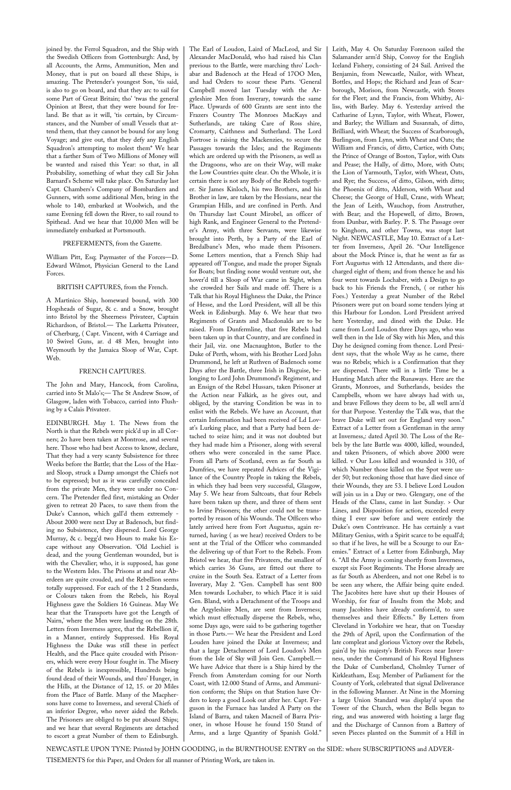joined by. the Ferrol Squadron, and the Ship with the Swedish Officers from Gottenburgh: And, by all Accounts, the Arms, Ammunition, Men and Money, that is put on board all these Ships, is amazing. The Pretender's youngest Son, 'tis said, is also to go on board, and that they arc to sail for some Part of Great Britain; tho' 'twas the general Opinion at Brest, that they were bound for Ireland. Be that as it will, 'tis certain, by Circumstances, and the Number of small Vessels that attend them, that they cannot be bound for any long Voyage; and give out, that they defy any English Squadron's attempting to molest them\* We hear that a farther Sum of Two Millions of Money will be wanted and raised this Year: so that, in all Probability, something of what they call Sir John Barnard's Scheme will take place. On Saturday last Capt. Chambers's Company of Bombardiers and Gunners, with some additional Men, bring in the whole to 140, embarked at Woolwich, and the same Evening fell down the River, to sail round to Spithead. And we hear that 10,000 Men will be immediately embarked at Portsmouth.

#### PREFERMENTS, from the Gazette.

William Pitt, Esq; Paymaster of the Forces—D. Edward Wilmot, Physician General to the Land Forces.

BRITISH CAPTURES, from the French.

A Martinico Ship, homeward bound, with 300 Hogsheads of Sugar, & c. and a Snow, brought into Bristol by the Sheerness Privateer, Captain Richardson, of Bristol.— The Larketta Privateer, of Cherburg, ( Capt. Vincent, with 4 Carriage and 10 Swivel Guns, ar. d 48 Men, brought into Weymouth by the Jamaica Sloop of War, Capt. Web.

#### FRENCH CAPTURES.

The John and Mary, Hancock, from Carolina, carried into St Malo's;— The St Andrew Snow, of Glasgow, laden with Tobacco, carried into Flushing by a Calais Privateer.

EDINBURGH. May 1. The News from the North is that the Rebels were pick'd up in all Corners; 2o have been taken at Montrose, and several here. Those who had best Access to know, declare, That they had a very scanty Subsistence for three Weeks before the Battle; that the Loss of the Hazard Sloop, struck a Damp amongst the Chiefs not to be expressed; but as it was carefully concealed from the private Men, they were under no Concern. The Pretender fled first, mistaking an Order given to retreat 20 Paces, to save them from the Duke's Cannon, which gall'd them extremely - About 2000 were next Day at Badenoch, but finding no Subsistence, they dispersed. Lord George Murray, & c. begg'd two Hours to make his Escape without any Observation. 'Old Lochiel is dead, and the young Gentleman wounded, but is with the Chevalier; who, it is supposed, has gone to the Western Isles. The Prisons at and near Aberdeen are quite crouded, and the Rebellion seems totally suppressed. For each of the 1 2 Standards, or Colours taken from the Rebels, his Royal Highness gave the Soldiers 16 Guineas. May We hear that the Transports have got the Length of Nairn,' where the Men were landing on the 28th. Letters from Inverness agree, that the Rebellion if, in a Manner, entirely Suppressed. His Royal Highness the Duke was still these in perfect Health, and the Place quite crouded with Prisoners, which were every Hour fought in. The Misery of the Rebels is inexpressible, Hundreds being found dead of their Wounds, and thro' Hunger, in the Hills, at the Distance of 12, 15. or 20 Miles from the Place of Battle. Many of the Macphersons have come to Inverness, and several Chiefs of an inferior Degree, who never aided the Rebels. The Prisoners are obliged to be put aboard Ships; and we hear that several Regiments are detached to escort a great Number of them to Edinburgh.

The Earl of Loudon, Laird of MacLeod, and Sir Alexander MacDonald, who had raised his Clan previous to the Battle, were marching thro' Lochabar and Badenoch at the Head of 17OO Men, and had Orders to scour these Parts. 'General Campbell moved last Tuesday with the Argyleshire Men from Inverary, towards the same Place. Upwards of 600 Grants are sent into the Frazers Country The Monroes MacKays and Sutherlands, are taking Care of Ross shire, Cromarty, Caithness and Sutherland. The Lord Fortrose is raising the Mackenzies, to secure the Passages towards the Isles; and the Regiments which are ordered up with the Prisoners, as well as the Dragoons, who are on their Way, will make the Low Countries quite clear. On the Whole, it is certain there is not any Body of the Rebels together. Sir James Kinloch, his two Brothers, and his Brother in law, are taken by the Hessians, near the Grampian Hills, and are confined in Perth. And 0n Thursday last Count Mirobel, an officer of high Rank, and Engineer General to the Pretender's Army, with three Servants, were likewise brought into Perth, by a Party of the Earl of Bredalbane's Men, who made them Prisoners. Some Letters mention, that a French Ship had appeared off Tongue, and made the proper Signals for Boats; but finding none would venture out, she hover'd till a Sloop of War came in Sight, when she crowded her Sails and made off. There is a Talk that his Royal Highness the Duke, the Prince of Hesse, and the Lord President, will all be this Week in Edinburgh. May 6. We hear that two Regiments of Grants and Macdonalds are to be raised. From Dunfermline, that five Rebels had been taken up in that Country, and are confined in their Jail, viz. one Macnaughton, Butler to the Duke of Perth, whom, with his Brother Lord John Drummond, he left at Ruthven of Badenoch some Days after the Battle, three Irish in Disguise, belonging to Lord John Drummond's Regiment, and an Ensign of the Rebel Hussars, taken Prisoner at the Action near Falkirk, as he gives out, and obliged, by the starving Condition be was in to enlist with the Rebels. We have an Account, that certain Information had been received of Ld Lovat's Lurking place, and that a Party had been detached to seize him; and it was not doubted but they had made him a Prisoner, along with several others who were concealed in the same Place. From all Parts of Scotland, even as far South as Dumfries, we have repeated Advices of the Vigilance of the Country People in taking the Rebels, in which they had been very successful, Glasgow, May 5. We hear from Saltcoats, that four Rebels have been taken up there, and three of them sent to Irvine Prisoners; the other could not be transported by reason of his Wounds. The Officers who lately arrived here from Fort Augustus, again returned, having ( as we hear) received Orders to be sent at the Trial of the Officer who commanded the delivering up of that Fort to the Rebels. From Bristol we hear, that five Privateers, the smallest of which carries 36 Guns, are fitted out there to cruize in the South Sea. Extract of a Letter from Inverary, May 2. "Gen. Campbell has sent 800 Men towards Lochaber, to which Place it is said Gen. Bland, with a Detachment of the Troops and the Argyleshire Men, are sent from Inverness; which must effectually disperse the Rebels, who, some Days ago, were said to be gathering together in those Parts.— We hear the President and Lord Louden have joined the Duke at Inverness; and that a large Detachment of Lord Loudon's Men from the Isle of Sky will Join Gen. Campbell.— We have Advice that there is a Ship hired by the French from Amsterdam coming for our North Coast, with 12.000 Stand of Arms, and Ammunition conform; the Ships on that Station have Orders to keep a good Look out after her. Capt. Ferguson in the Furnace has landed A Party on the Island of Barra, and taken Macneil of Barra Prisoner, in whose House he found 150 Stand of Arms, and a large Quantity of Spanish Gold."

Leith, May 4. On Saturday Forenoon sailed the Salamander arm'd Ship, Convoy for the English Iceland Fishery, consisting of 24 Sail. Arrived the Benjamin, from Newcastle, Nailor, with Wheat, Bottles, and Hops; the Richard and Jean of Scarborough, Morison, from Newcastle, with Stores for the Fleet; and the Francis, from Whitby, Ailiss, with Barley. May 6. Yesterday arrived the Catharine of Lynn, Taylor, with Wheat, Flower, and Barley; the William and Susannah, of ditto, Brilliard, with Wheat; the Success of Scarborough, Burlingson, from Lynn, with Wheat and Oats; the William and Francis, of ditto, Cartice, with Oats; the Prince of Orange of Boston, Taylor, with Oats and Pease; the Hally, of ditto, More, with Oats; the Lion of Yarmouth, Taylor, with Wheat, Oats, and Rye; the Success, of ditto, Gilson, with ditto; the Phoenix of ditto, Alderson, with Wheat and Cheese; the George of Hull, Crane, with Wheat; the Jean of Leith, Wauchop, from Anstruther, with Bear; and the Hopewell, of ditto, Brown, from Dunbar, with Barley. P. S. The Passage over to Kinghorn, and other Towns, was stopt last Night. NEWCASTLE, May 10. Extract of a Letter from Inverness, April 26. "Our Intelligence about the Mock Prince is, that he went as far as Fort Augustus with 12 Attendants, and there discharged eight of them; and from thence he and his four went towards Lochaber, with a Design to go back to his Friends the French, ( or rather his Foes.) Yesterday a great Number of the Rebel Prisoners were put on board some tenders lying at this Harbour for London. Lord President arrived here Yesterday, and dined with the Duke. He came from Lord Loudon three Days ago, who was well then in the Isle of Sky with his Men, and this Day he designed coming from thence. Lord President says, that the whole Way as he came, there was no Rebels; which is a Confirmation that they are dispersed. There will in a little Time be a Hunting Match after the Runaways. Here are the Grants, Monroes, and Sutherlands, besides the Campbells, whom we have always had with us, and brave Fellows they deem to be, all well arm'd for that Purpose. Yesterday the Talk was, that the brave Duke will set out for England very soon." Extract of a Letter from a Gentleman in the army at Inverness,: dated April 30. The Loss of the Rebels by the late Battle was 4000, killed, wounded, and taken Prisoners, of which above 2000 were killed. v Our Loss killed and wounded is 310, of which Number those killed on the Spot were under 50; but reckoning those that have died since of their Wounds, they are 53. I believe Lord Loudon will join us in a Day or two. Glengary, one of the Heads of the Clans, came in last Sunday. > Our Lines, and Disposition for action, exceeded every thing I ever saw before and were entirely the Duke's own Contrivance. He has certainly a vast Military Genius, with a Spirit scarce to be equall'd; so that if he lives, he will be a Scourge to our Enemies." Extract of a Letter from Edinburgh, May 6. "All the Army is coming shortly from Inverness, except six Foot Regiments. The Horse already are as far South as Aberdeen, and not one Rebel is to be seen any where, the Affair being quite ended. The Jacobites here have shut up their Houses of Worship, for fear of Insults from the Mob; and many Jacobites have already conform'd, to save themselves and their Effects." By Letters from Cleveland in Yorkshire we hear, that on Tuesday the 29th of April, upon the Confirmation of the late compleat and glorious Victory over the Rebels, gain'd by his majesty's British Forces near Inverness, under the Command of his Royal Highness the Duke of Cumberland, Cholmley Turner of Kirkleatham, Esq; Member of Parliament for the County of York, celebrated that signal Deliverance in the following Manner. At Nine in the Morning a large Union Standard was display'd upon the Tower of the Church, when the Bells began to ring, and was answered with hoisting a large flag and the Discharge of Cannon from a Battery of seven Pieces planted on the Summit of a Hill in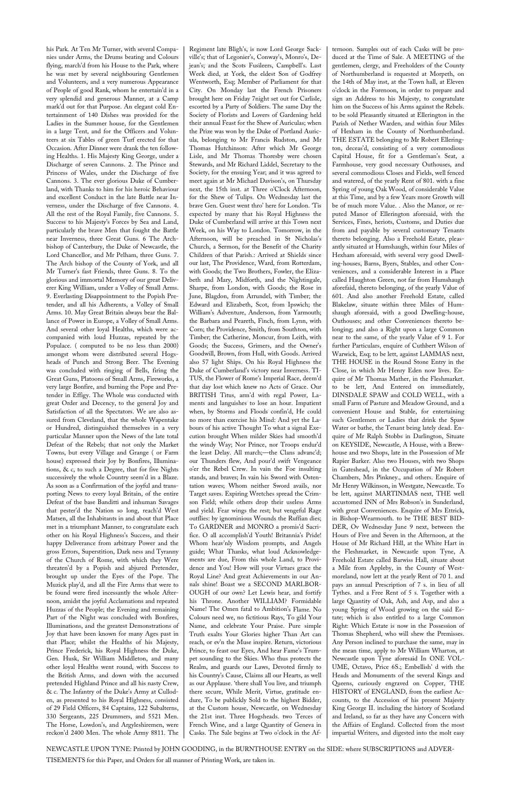his Park. At Ten Mr Turner, with several Companies under Arms, the Drums beating and Colours flying, march'd from his House to the Park, where he was met by several neighbouring Gentlemen and Volunteers, and a very numerous Appearance of People of good Rank, whom he entertain'd in a very splendid and generous Manner, at a Camp mark'd out for that Purpose. An elegant cold Entertainment of 140 Dishes was provided for the Ladies in the Summer house, for the Gentlemen in a large Tent, and for the Officers and Volunteers at six Tables of green Turf erected for that Occasion. After Dinner were drank the ten following Healths. 1. His Majesty King George, under a Discharge of seven Cannons. 2. The Prince and Princess of Wales, under the Discharge of five Cannons. 3. The ever glorious Duke of Cumberland, with Thanks to him for his heroic Behaviour and excellent Conduct in the late Battle near Inverness, under the Discharge of five Cannons. 4. All the rest of the Royal Family, five Cannons. 5. Success to his Majesty's Forces by Sea and Land, particularly the brave Men that fought the Battle near Inverness, three Great Guns. 6 The Archbishop of Canterbury, the Duke of Newcastle, the Lord Chancellor, and Mr Pelham, three Guns. 7. The Arch bishop of the County of York, and all Mr Turner's fast Friends, three Guns. 8. To the glorious and immortal Memory of our great Deliverer King William, under a Volley of Small Arms. 9. Everlasting Disappointment to the Popish Pretender, and all his Adherents, a Volley of Small Arms. 10. May Great Britain always bear the Ballance of Power in Europe, a Volley of Small Arms. And several other loyal Healths, which were accompanied with loud Huzzas, repeated by the Populace. ( computed to be no less than 2000) amongst whom were distributed several Hogsheads of Punch and Strong Beer. The Evening was concluded with ringing of Bells, firing the Great Guns, Platoons of Small Arms, Fireworks, a very large Bonfire, and burning the Pope and Pretender in Effigy. The Whole was conducted with great Order and Decency, to the general Joy and Satisfaction of all the Spectators. We are also assured from Cleveland, that the whole Wapentake or Hundred, distinguished themselves in a very particular Manner upon the News of the late total Defeat of the Rebels; that not only the Market Towns, but every Village and Grange ( or Farm house) expressed their Joy by Bonfires, Illuminations, & c, to such a Degree, that for five Nights successively the whole Country seem'd in a Blaze. As soon as a Confirmation of the joyful and transporting News to every loyal Britain, of the entire Defeat of the base Banditti and inhuman Savages that pester'd the Nation so long, reach'd West Matsen, all the Inhabitants in and about that Place met in a triumphant Manner, to congratulate each other on his Royal Highness's Success, and their happy Deliverance from arbitrary Power and the gross Errors, Superstition, Dark ness and Tyranny of the Church of Rome, with which they Were threaten'd by a Popish and abjured Pretender, brought up under the Eyes of the Pope. The Muzick play'd, and all the Fire Arms that were to be found were fired incessantly the whole Afternoon, amidst the joyful Acclamations and repeated Huzzas of the People; the Evening and remaining Part of the Night was concluded with Bonfires, Illuminations, and the greatest Demonstrations of Joy that have been known for many Ages past in that Place; whilst the Healths of his Majesty, Prince Frederick, his Royal Highness the Duke, Gen. Husk, Sir William Middleton, and many other loyal Healths went round, with Success to the British Arms, and down with the accursed pretended Highland Prince and all his nasty Crew, & c. The Infantry of the Duke's Army at Culloden, as presented to his Royal Highness, consisted of 29 Field Officers, 84 Captains, 122 Subalterns, 330 Sergeants, 225 Drummers, and 5521 Men. The Horse, Lowdon's, and Argyleshiremen, were reckon'd 2400 Men. The whole Army 8811. The Regiment late Bligh's, is now Lord George Sackville's; that of Legonier's, Conway's, Monro's, Dejean's; and the Scots Fusileers, Campbell's. Last Week died, at York, the eldest Son of Godfrey Wentworth, Esq; Member of Parliament for that City. On Monday last the French Prisoners brought here on Friday 7night set out for Carlisle, escorted by a Party of Soldiers. The same Day the Society of Florists and Lovers of Gardening held their annual Feast for the Shew of Auriculas; when the Prize was won by the Duke of Portland Auricula, belonging to Mr Francis Rudston, and Mr Thomas Hutchinson: After which Mr George Lisle, and Mr Thomas Thoresby were chosen Stewards, and Mr Richard Liddel, Secretary to the Society, for the ensuing Year; and it was agreed to meet again at Mr Michael Davison's, on Thursday next, the 15th inst. at Three o'Clock Afternoon, for the Shew of Tulips. On Wednesday last the brave Gen. Guest went thro' here for London. 'Tis expected by many that his Royal Highness the Duke of Cumberland will arrive at this Town next Week, on his Way to London. Tomorrow, in the Afternoon, will be preached in St Nicholas's Church, a Sermon, for the Benefit of the Charity Children of that Parish.: Arrived at Shields since our last, The Providence, Ward, from Rotterdam, with Goods; the Two Brothers, Fowler, the Elizabeth and Mary, Midforth, and the Nightingale, Sharpe, from London, with Goods; the Rose in June, Blagdon, from Arrundel, with Timber; the Edward and Elizabeth, Scot, from Ipswich; the William's Adventure, Anderson, from Yarmouth; the Barbara and Peareth, Finch, from Lynn, with Corn; the Providence, Smith, from Southton, with Timber; the Catherine, Moncur, from Leith, with Goods; the Success, Grimers, and the Owner's Goodwill, Brown, from Hull, with Goods. Arrived also 57 light Ships. On his Royal Highness the Duke of Cumberland's victory near Inverness. TI-TUS, the Flower of Rome's Imperial Race, deem'd that day lost which knew no Acts of Grace. Our BRITISH Titus, arm'd with regal Power, Laments and languishes to lose an hour. Impatient when, by Storms and Floods confin'd, He could no more than exercise his Mind: And yet the Labours of his active Thought To what a signal Execution brought When milder Skies had smooth'd the windy Way; Nor Prince, nor Troops endur'd the least Delay. All march;—the Clans advanc'd; our Thunders flew, And pour'd swift Vengeance o'er the Rebel Crew. In vain the Foe insulting stands, and braves; In vain his Sword with Ostentation waves; Whom neither Sword avails, nor Target saves. Expiring Wretches spread the Crimson Field; while others drop their useless Arms and yield. Fear wings the rest; but vengeful Rage outflies: by ignominious Wounds the Ruffian dies; To GARDNER and MONRO a promis'd Sacrifice. O all accomplish'd Youth! Britannia's Pride! Whom heav'nly Wisdom prompts, and Angels guide; What Thanks, what loud Acknowledgements are due, From this whole Land, to Providence and You! How will your Virtues grace the Royal Line? And great Achievements in our Annals shine! Boast we a SECOND MARLBOR-OUGH of our own? Let Lewis hear, and fortify his Throne. Another WILLIAM? Formidable Name! The Omen fatal to Ambition's Flame. No Colours need we, no fictitious Rays, To gild Your Name, and celebrate Your Praise. Pure simple Truth exalts Your Glories higher Than Art can reach, or ev'n the Muse inspire. Return, victorious Prince, to feast our Eyes, And hear Fame's Trumpet sounding to the Skies. Who thus protects the Realm, and guards our Laws, Devoted firmly to his Country's Cause, Claims all our Hearts, as well as our Applause. 'there shall You live, and triumph there secure, While Merit, Virtue, gratitude endure, To be publickly Sold to the highest Bidder, at the Custom house, Newcastle, on Wednesday the 21st inst. Three Hogsheads. two Terces of French Wine, and a large Quantity of Geneva in Casks. The Sale begins at Two o'clock in the Af-

ternoon. Samples out of each Casks will be produced at the Time of Sale. A MEETING of the gentlemen, clergy, and Freeholders of the County of Northumberland is requested at Morpeth, on the 14th of May inst, at the Town hall, at Eleven o'clock in the Forenoon, in order to prepare and sign an Address to his Majesty, to congratulate him on the Success of his Arms against the Rebels. to be sold Pleasantly situated at Ellerington in the Parish of Nether Warden, and within four Miles of Hexham in the County of Northumberland. THE ESTATE belonging to Mr Robert Ellerington, deceas'd, consisting of a very commodious Capital House, fit for a Gentleman's Seat, a Farmhouse, very good necessary Outhouses, and several commodious Closes and Fields, well fenced and watered, of the yearly Rent of 801. with a fine Spring of young Oak Wood, of considerable Value at this Time, and by a few Years more Growth will be of much more Value. . Also the Manor, or reputed Manor of Ellerington aforesaid, with the Services, Fines, heriots, Customs, and Duties due from and payable by several customary Tenants thereto belonging. Also a Freehold Estate, pleasantly situated at Humshaugh, within four Miles of Hexham aforesaid, with several very good Dwelling-houses, Barns, Byers, Stables, and other Conveniences, and a considerable Interest in a Place called Haughton Green, not far from Humshaugh aforefaid, thereto belonging, of the yearly Value of 601. And also another Freehold Estate, called Blakelaw, situate within three Miles of Humshaugh aforesaid, with a good Dwelling-house, Outhouses; and other Conveniences thereto belonging; and also a Right upon a large Common near to the same, of the yearly Value ef 9 1. For further Particulars, enquire of Cuthbert Wilson of Warwick, Esq; to be lett, against LAMMAS next, THE HOUSE in the Round Stone Entry in the Close, in which Mr Henry Eden now lives. Enquire of Mr Thomas Mather, in the Fleshmarket. to be lett, And Entered on immediately, DINSDALE SPAW and COLD WELL, with a small Farm of Pasture and Meadow Ground, and a convenient House and Stable, for entertaining such Gentlemen or Ladies that drink the Spaw Water or bathe, the Tenant being lately dead. Enquire of Mr Ralph Stobbs in Darlington, Situate on KEYSIDE, Newcastle, A House, with a Brewhouse and two Shops, late in the Possession of Mr Rapier Barker. Also two Houses, with two Shops in Gateshead, in the Occupation of Mr Robert Chambers, Mrs Pinkney., and others. Enquire of Mr Henry Wilkinson, in Westgate, Newcastle. To be lett, against MARTINMAS next, THE well accustomed INN of Mrs Robson's in Sunderland, with great Conveniences. Enquire of Mrs Ettrick, in Bishop-Wearmouth. to be THE BEST BID-DER, Ov Wednesday June 9 next, between the Hours of Five and Seven in the Afternoon, at the House of Mr Richard Hill, at the White Hart in the Fleshmarket, in Newcastle upon Tyne, A Freehold Estate called Barwiss Hall, situate about a Mile from Appleby, in the County of Westmoreland, now lett at the yearly Rent of 70 1. and pays an annual Prescription of 7 s. in lieu of all Tythes. and a Free Rent of 5 s. Together with a large Quantity of Oak, Ash, and Asp, and also a young Spring of Wood growing on the said Estate; which is also entitled to a large Common Right: Which Estate is now in the Possession of Thomas Shepherd, who will shew the Premisses. Any Person inclined to purchase the same, may in the mean time, apply to Mr William Wharton, at Newcastle upon Tyne aforesaid In ONE VOL-UME, Octavo, Price 6S.; Embellish' d with the Heads and Monuments of the several Kings and Queens, curiously engraved on Copper, THE HISTORY of ENGLAND, from the earliest Accounts, to the Accession of his present Majesty King George II. including the history of Scotland and Ireland, so far as they have any Concern with the Affairs of England. Collected from the most impartial Writers, and digested into the molt easy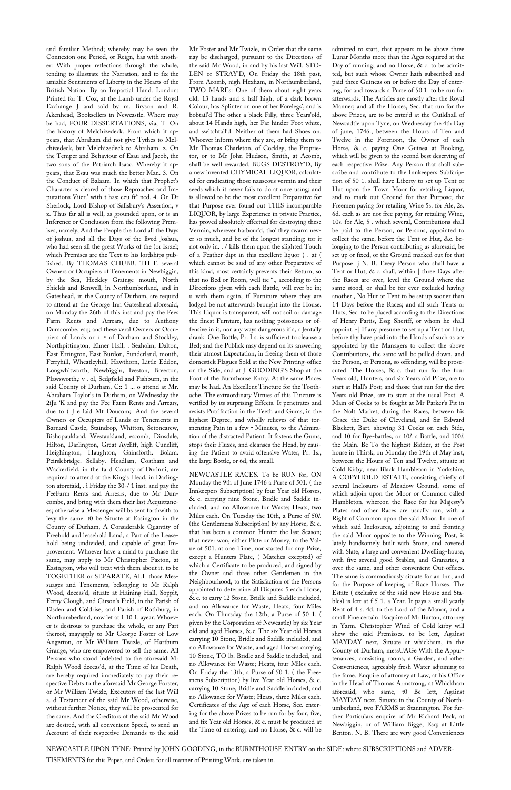and familiar Method; whereby may be seen the Connexion one Period, or Reign, has with another: With proper reflections through the whole, tending to illustrate the Narration, and to fix the amiable Sentiments of Liberty in the Hearts of the British Nation. By an Impartial Hand. London: Printed for T. Cox, at the Lamb under the Royal Exchange J and sold by m. Bryson and R. Akenhead, Booksellers in Newcastle. Where may be had, FOUR DISSERTATIONS, via, T. On the history of Melchizedeck. From which it appears, that Abraham did not give Tythes to Melchizedeck, but Melchizedeck to Abraham. z. On the Temper and Behaviour of Esau and Jacob, the two sons of the Patriarch Isaac. Whereby it appears, that Esau was much the better Man. 3. On the Conduct of Balaam. In which that Prophet's Character is cleared of those Reproaches and Imputations Viier.' with t has; eeu ft\* ned. 4. On Dr Sherlock, Lord Bishop of Salisbury's Assertion, v z. Thus far all is well, as grounded upon, or is an Inference or Conclusion from the following Premises, namely, And the People the Lord all the Days of joshua, and all the Days of the lived Joshua, who had seen all the great Works of the (or Israel; which Premises are the Text to his lordships published. By THOMAS CHUBB. TH E several Owners or Occupiers of Tenements in Newbiggin, by the Sea, Heckley Grainge mouth, North Shields and Benwell, in Northumberland, and in Gateshead, in the County of Durham, are requird to attend at the George Inn Gateshead aforesaid, on Monday the 26th of this inst and pay the Fees Farm Rents and Arrears, due to Anthony Dumcombe, esq; and these veral Owners or Occupiers of Lands or i .• of Durham and Stockley, Northpittington, Elmer Hall, . Seaholm, Dalton, East Errington, East Burdon, Sunderland, mouth, Ferryhill, Wheatleyhill, Hawthorn, Little Eddon, Longwhitworth; Newbiggin, Iveston, Breerton, Plawsworth,: v . ol, Sedgfield and Fishburn, in the said County of Durham, C:: 1 ... o attend at Mr. Abraham Taylor's in Durham, on Wednesday the 2iJu 'K and pay the Fee Farm Rents and Arrears, due to ( J e laid Mt Doucom;: And the several Owners or Occupiers of Lands or Tenements in Barnard Castle, Staindrop, Whitton, Setoncarew, Bishopaukland, Westaukland, escomb, Dinsdale, Hilton, Darlington, Great Aycliff, high Cuncliff, Heighington, Haughton, Gainsforth. Bolam. Peirslebridge. Sellaby. Headlam, Coatham and Wackerfield, in the fa d County of Durlnni, are required to attend at the King's Head, in Darlington aforefaid, . i Friday the 30-/ 1 inst. and pay the FeeFarm Rents and Arrears, due to Mr Duncombe, and bring with them their last Acquittances; otherwise a Messenger will bs sent forthwith to levy the same. t0 be Situate at Easington in the County of Durham, A Considerable Quantity of Freehold and leasehold Land, a Part of the Leasehold being undivided, and capable of great Improvement. Whoever have a mind to purchase the same, may apply to Mr Christopher Paxton, at Easington, who will treat with them about it. to be TOGETHER or SEPARATE, ALL those Messuages and Tenements, belonging to Mr Ralph Wood, deceas'd, situate at Haining Hall, Soppit, Ferny Clough, and Girson's Field, in the Parish of Elsden and Coldrise, and Parish of Rothbury, in Northumberland, now let at 1 10 1. ayear. Whoever is desirous to purchase the whole, or any Part thereof, mayapply to Mr George Foster of Low Angerton, or Mr William Twizle, of Hartburn Grange, who are empowered to sell the same. All Persons who stood indebted to the aforesaid Mr Ralph Wood deceas'd, at the Time of his Death, are hereby required immediately to pay their respective Debts to the aforesaid Mr George Forster, or Mr William Twizle, Executors of the last Will a. d Testament of the said Mr Wood, otherwise, without further Notice, they will be prosecuted for the same. And the Creditors of the said Mr Wood are desired, with all convenient Speed, to send an Account of their respective Demands to the said

Mr Foster and Mr Twizle, in Order that the same nay be discharged, pursuant to the Directions of the said Mr Wood, in and by his last Will. STO-LEN or STRAY'D, On Friday the 18th past, From Acomb, nigh Hexham, in Northumberland, TWO MAREs: One of them about eight years old, 13 hands and a half high, of a dark brown Colour, has Splinter on one of her Forelegs', and is bobtail'd The other a black Filly, three Years'old, about 14 Hands high, her Far hinder Foot white, and switchtail'd. Neither of them had Shoes on. Whoever inform where they are, or bring them to Mr Thomas Charleton, of Cockley, the Proprietor, or to Mr John Hudson, Smith, at Acomb, shall be well rewarded. BUGS DESTROY'D, By a new invented CHYMICAL LIQUOR, calculated for eradicating those nauseous vermin and their seeds which it never fails to do at once using; and is allowed to be the most excellent Preparative for that Purpose ever found out THIS incomparable LIQUOR, by large Experience in private Practice, has proved absolutely effectual for destroying these Vermin, wherever harbour'd, tho' they swarm never so much, and be of the longest standing; tor it not only in. . / kills them upon the slighted Touch of a Feather dipt in this excellent liquor ) . at ( which cannot be said of any other Preparative of this kind, most certainly prevents their Return; so that no Bed or Room, well tie ''., according to the Directions given with each Battle, will ever be in; u with them again, if Furniture where they are lodged be not afterwards brought into the House. This Liquor is transparent, will not soil or damage the finest Furnture, has nothing poisonous or offensive in it, nor any ways dangerous if a, r Jentally drank. One Bottle, Pr. I s. is sufficient to cleanse a Bed; and the Publick may depend on its answering their utmost Expectation, in freeing them of those domestick Plagues Sold at the New Printing-office on the Side, and at J. GOODING'S Shop at the Foot of the Burnthouse Entry. At the same Places may be had. An Excellent Tincture for the Toothache. The extraordinary Virtues of this Tincture is verified by its surprising Effects. It penetrates and resists Putrifaction in the Teeth and Gums, in the highest Degree, and wholly relieves of that tormenting Pain in a few • Minutes, to the Admiration of the distracted Patient. It fastens the Gums, stops their Fluxes, and cleanses the Head, by causing the Patient to avoid offensive Water, Pr. 1s., the large Bottle, or 6d, the small.

NEWCASTLE RACES. To be RUN for, ON Monday the 9th of June 1746 a Purse of 501. ( the Innkeepers Subscription) by four Year old Horses, & c. carrying nine Stone, Bridle and Saddle included, and no Allowance for Waste; Heats, two Miles each. On Tuesday the 10th, a Purse of 50*l*. (the Gentlemens Subscription) by any Horse, & c. that has been a common Hunter the last Season; that never won, either Plate or Money, to the Value of 501. at one Time; nor started for any Prize, except a Hunters Plate, ( Matches excepted) of which a Certificate to be produced, and signed by the Owner and three other Gentlemen in the Neighbourhood, to the Satisfaction of the Persons appointed to determine all Disputes 5 each Horse, & c. to carry 12 Stone, Bridle and Saddle included, and no Allowance for Waste; Heats, four Miles each. On Thursday the 12th, a Purse of 50 1. ( given by the Corporation of Newcastle) by six Year old and aged Horses, & c. The six Year old Horses carrying 10 Stone, Bridle and Saddle included, and no Allowance for Waste; and aged Horses carrying 10 Stone, TO lb. Bridle and Saddle included, and no Allowance for Waste; Heats, four Miles each. On Friday the 13th, a Purse of 50 1. ( the Freemens Subscription) by live Year old Horses, & c. carrying 10 Stone, Bridle and Saddle included, and no Allowance for Waste; Heats, three Miles each. Certificates of the Age of each Horse, Sec. entering for the above Prizes to be run for by four, five, and fix Year old Horses, & c. must be produced at the Time of entering; and no Horse, & c. will be admitted to start, that appears to be above three Lunar Months more than the Ages required at the Day of running; and no Horse, & c. to be admitted, but such whose Owner hath subscribed and paid three Guineas on or before the Day of entering, for and towards a Purse of 50 1. to be run for afterwards. The Articles are mostly after the Royal Manner; and all the Horses, Sec. that run for the above Prizes, are to be enter'd at the Guildhall of Newcadtle upon Tyne, on Wednesday the 4th Day of june, 1746., between the Hours of Ten and Twelve in the Forenoon, the Owner of each Horse, & c. paying One Guinea at Booking, which will be given to the second best deserving of each respective Prize. Any Person that shall subscribe and contribute to the Innkeepers Subfcription of 50 1. shall have Liberty to set up Tent or Hut upon the Town Moor for retailing Liquor, and to mark out Ground for that Purpose; the Freemen paying for retailing Wine 5s. for Ale, 2s. 6d. each as are not free paying, for retailing Wine, 10s. for Ale, 5 . which several, Contributions shall be paid to the Person, or Persons, appointed to collect the same, before the Tent or Hut, &c. belonging to the Person contributing as aforesaid, be set up or fixed, or the Ground marked out for that Purpose. j N. B. Every Person who shall have a Tent or Hut, & c. shall, within | three Days after the Races are over, level the Ground where the same stood, or shall be for ever excluded having another., No Hut or Tent to be set up sooner than 14 Days before the Races; and all such Tents or Huts, Sec. to be placed according to the Directions of Henry Partis, Esq; Sheriff, or whom he shall appoint. -| If any presume to set up a Tent or Hut, before thy have paid into the Hands of such as are appointed by the Managers to collect the above Contributions, the same will be pulled down, and the Person, or Persons, so offending, will be prosecuted. The Horses, & c. that run for the four Years old, Hunters, and six Years old Prize, are to start at Hall's Post; and those that run for the five Years old Prize, are to start at the usual Post. A Main of Cocks to be fought at Mr Parker's Pit in the Nolt Market, during the Races, between his Grace the Duke of Cleveland, and Sir Edward Blackett, Bart. shewing 31 Cocks on each Side, and 10 for Bye-battles, or 10*l*. a Battle, and 100*l*. the Main. Be To the highest Bidder, at the Post house in Thirsk, on Monday the 19th of May inst, between the Hours of Ten and Twelve, situate at Cold Kirby, near Black Hambleton in Yorkshire, A COPYHOLD ESTATE, consisting chiefly of several Inclosures of Meadow Ground, some of which adjoin upon the Moor or Common called Hambleton, whereon the Race for his Majesty's Plates and other Races are usually run, with a Right of Common upon the said Moor. In one of which said Inclosures, adjoining to and fronting the said Moor opposite to the Winning Post, is lately handsomely built with Stone, and covered with Slate, a large and convenient Dwelling-house, with five several good Stables, and Granaries, a over the same, and other convenient Out-offices. The same is commodiously situate for an Inn, and for the Purpose of keeping of Race Horses. The Estate ( exclusive of the said new House and Stables) is lett at f 5 1. a Year. It pays a small yearly Rent of 4 s. 4d. to the Lord of the Manor, and a small Fine certain. Enquire of Mr Burton, attorney in Yarm. Christopher Wind of Cold kirby will shew the said Premisses. to be lett, Against MAYDAY next, Situate at whickham, in the County of Durham, messUAGe With the Appurtenances, consisting rooms, a Garden, and other Conveniences, agreeably fresh Water adjoining to the fame. Enquire of attorney at Law, at his Office in the Head of Thomas Armstrong, at Whickham aforesaid, who same, t0 Be lett, Against MAYDAY next, Situate in the County of Northumberland, two FARMS at Stannington. For further Particulars enquire of Mr Richard Peck, at Newbiggin, or of William Bigge, Esq; at Little Benton. N. B. There are very good Conveniences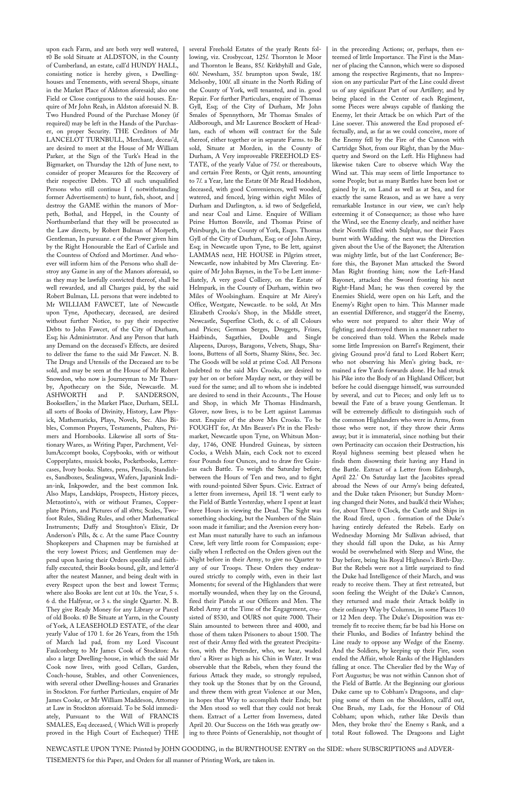upon each Farm, and are both very well watered, t0 Be sold Situate at ALDSTON, in the County of Cumberland, an estate, call'd HUNDY HALL, consisting notice is hereby given, s Dwellinghouses and Tenements, with several Shops, situate in the Market Place of Aldston aforesaid; also one Field or Close contiguous to the said houses. Enquire of Mr John Reah, in Aldston aforesaid N. B. Two Hundred Pound of the Purchase Money (if required) may be left in the Hands of the Purchaser, on proper Security. THE Creditors of Mr LANCELOT TURNBULL, Merchant, deceas'd, are desired to meet at the House of Mr William Parker, at the Sign of the Turk's Head in the Bigmarket, on Thursday the 12th of June next, to consider of proper Measures for the Recovery of their respective Debts. TO all such unqualified Persons who still continue I ( notwithstanding former Advertisements) to hunt, fish, shoot, and destroy the GAME within the manors of Morpeth, Bothal, and Heppel, in the County of Northumberland that they will be prosecuted as the Law directs, by Robert Bulman of Morpeth, Gentleman, In pursuanr. e of the Power given him by the Right Honourable the Earl of Carlisle and the Countess of Oxford and Mortimer. And whoever will inform him of the Persons who shall destroy any Game in any of the Manors aforesaid, so as they may be lawfully convicted thereof, shall be well rewarded, and all Charges paid, by the said Robert Bulman, LL persons that were indebted to Mr WILLIAM FAWCET, late of Newcastle upon Tyne, Apothecary, deceased, are desired without further Notice, to pay their respective Debts to John Fawcet, of the City of Durham, Esq; his Administrator. And any Person that hath any Demand on the deceased's Effects, are desired to deliver the fame to the said Mr Fawcet. N. B. The Drugs and Utensils of the Deceased are to be sold, and may be seen at the House of Mr Robert Snowdon, who now is Journeyman to Mr Thursby, Apothecary on the Side, Newcastle. M. ASHWORTH and P. SANDERSON, Booksellers,' in the Market Place, Durham, SELL all sorts of Books of Divinity, History, Law Physick, Mathematicks, Plays, Novels, Sec. Also Bibles, Common Prayers, Testaments, Psalters, Primers and Hornbooks. Likewise all sorts of Stationary Wares, as Writing Paper, Parchment, VellumAccompt books, Copybooks, with or without Copperplates, musick books, Pocketbooks, Lettercases, Ivory books. Slates, pens, Pencils, Standishes, Sandboxes, Sealingwax, Wafers, Japanink Indian-ink, Inkpowder, and the best common Ink. Also Maps, Landskips, Prospects, History pieces, Metzotinto's, with or without Frames, Copperplate Prints, and Pictures of all s0rts; Scales, Twofoot Rules, Sliding Rules, and other Mathematical Instruments; Daffy and Stoughton's Elixir, Dr Anderson's Pills, & c. At the same Place Country Shopkeepers and Chapmen may be furnished at the very lowest Prices; and Gentlemen may depend upon having their Orders speedily and faithfully executed, their Books bound, gilt, and letter'd after the neatest Manner, and being dealt with in every Respect upon the best and lowest Terms; where also Books are lent cut at 10s. the Year, 5 s. 6 d. the Halfyear, or 3 s. the single Quarter. N. B. They give Ready Money for any Library or Parcel of old Books. t0 Be Situate at Yarm, in the County of York, A LEASEHOLD ESTATE, of the clear yearly Value of 170 1. for 26 Years, from the 15th of March lad pad, from my Lord Viscount Faulconberg to Mr James Cook of Stockton: As also a large Dwelling-house, in which the said Mr Cook now lives, with good Cellars, Garden, Coach-house, Stables, and other Conveniences, with several other Dwelling-houses and Granaries in Stockton. For further Particulars, enquire of Mr James Cooke, or Mr William Maddeson, Attorney at Law in Stockton aforesaid. To be Sold immediately, Pursuant to the Will of FRANCIS SMALES, Esq deceased, ( Which Will is properly proved in the High Court of Exchequer) THE

several Freehold Estates of the yearly Rents following, viz. Crosbycoat, 125*l*. Thornton le Moor and Thornton le Beans, 85*l*. Kirkbyhill and Gale, 60*l*. Newsham, 35*l*. brumpton upon Swale, 18*l*. Melsonby, 100*l*. all situate in the North Riding of the County of York, well tenanted, and in. good Repair. For further Particulars, enquire of Thomas Gyll, Esq; of the City of Durham, Mr John Smales of Spennythorn, Mr Thomas Smales of Aldborough, and Mr Laurence Brockett of Headlam, each of whom will contract for the Sale thereof, either together or in separate Farms. to Be sold, Situate at Morden, in the County of Durham, A Very improveable FREEHOLD ES-TATE, of the yearly Value of 75*l*. or thereabouts, and certain Free Rents, or Quit rents, amounting to 7*l*. a Year, late the Estate 0f Mr Read Hodshon, deceased, with good Conveniences, well wooded, watered, and fenced, lying within eight Miles of Durham and Darlington, a. id two of Sedgefield, and near Coal and Lime. Enquire of William Peirse Hutton Bonvile, and Thomas Peirse of Peirsburgh, in the County of York, Esqrs. Thomas Gyll of the City of Durham, Esq; or of John Airey, Esq; in Newcastle upon Tyne, to Be lett, against LAMMAS next, HE HOUSE in Pilgrim street, Newcastle, now inhabited by Mrs Clavering. Enquire of Mr John Baynes, in the To be Lett immediately, A very good Colliery, on the Estate of Helmpark, in the County of Durham, within two Miles of Woolsingham. Enquire at Mr Airey's Office, Westgate, Newcastle. to be sold, At Mrs Elizabeth Crooks's Shop, in the Middle street, Newcastle, Superfine Cloth, & c. of all Colours and Prices; German Serges, Druggets, Frizes, Hairbinds, Sagathies, Double and Single Alapeens, Duroys, Baragons, Velvets, Shags, Shaloons, Buttens of all Sorts, Shamy Skins, Sec. 3ec. The Goods will be sold at prime Cod. All Persons indebted to the said Mrs Crooks, are desired to pay her on or before Mayday next, or they will be sued for the same; and all to whom she is indebted are desired to send in their Accounts., The House and Shop, in which Mr Thomas Hindmarsh, Glover, now lives, is to be Lett against Lammas next. Enquire of the above Mrs Crooks. To be FOUGHT for, At Mrs Beaver's Pit in the Fleshmarket, Newcastle upon Tyne, on Whitsun Monday, 1746, ONE Hundred Guineas, by sixteen Cocks, a Welsh Main, each Cock not to exceed four Pounds four Ounces, and to draw five Guineas each Battle. To weigh the Saturday before, between the Hours of Ten and two, and to fight with round-pointed Silver Spurs. Civic. Extract of a letter from inverness, April 18. "I went early to the Field of Battle Yesterday, where I spent at least three Hours in viewing the Dead. The Sight was something shocking, but the Numbers of the Slain soon made it familiar; and the Aversion every honest Man must naturally have to such an infamous Crew, left very little room for Compassion; especially when I reflected on the Orders given out the Night before in their Army, to give no Quarter to any of our Troops. These Orders they endeavoured strictly to comply with, even in their last Moments; for several of the Highlanders that were mortally wounded, when they lay on the Ground, fired their Pistols at our Officers and Men. The Rebel Army at the Time of the Engagement, consisted of 8530, and OURS not quite 7000. Their Slain amounted to between three and 4000, and those of them taken Prisoners to about 1500. The rest of their Army fled with the greatest Precipitation, with the Pretender, who, we hear, waded thro' a River as high as his Chin in Water. It was observable that the Rebels, when they found the furious Attack they made, so strongly repulsed, they took up the Stones that by on the Ground, and threw them with great Violence at our Men, in hopes that Way to accomplish their Ends; but the Men stood so well that they could not break them. Extract of a Letter from Inverness, dated April 20. Our Success on the 16th was greatly owing to three Points of Generalship, not thought of

in the preceeding Actions; or, perhaps, then esteemed of little Importance. The First is the Manner of placing the Cannon, which were so disposed among the respective Regiments, that no Impression on any particular Part of the Line could divest us of any significant Part of our Artillery; and by being placed in the Center of each Regiment, some Pieces were always capable of flanking the Enemy, let their Attack be on which Part of the Line soever. This answered the End proposed effectually, and, as far as we could conceive, more of the Enemy fell by the Fire of the Cannon with Cartridge Shot, from our Right, than by the Musquetry and Sword on the Left. His Highness had likewise taken Care to observe which Way the Wind sat. This may seem of little Importance to some People; but as many Battles have been lost or gained by it, on Land as well as at Sea, and for exactly the same Reason, and as we have a very remarkable Instance in our view, we can't help esteeming it of Consequence; as those who have the Wind, see the Enemy clearly, and neither have their Nostrils filled with Sulphur, nor their Faces burnt with Wadding. the next was the Direction given about the Use of the Bayonet; the Alteration was mighty little, but of the last Conference; Before this, the Bayonet Man attacked the Sword Man Right fronting him; now the Left-Hand Bayonet, attacked the Sword fronting his next Right-Hand Man; he was then covered by the Enemies Shield, were open on his Left, and the Enemy's Right open to him. This Manner made an essential Difference, and stagger'd the Enemy, who were not prepared to alter their Way of fighting; and destroyed them in a manner rather to be conceived than told. When the Rebels made some little Impression on Barrel's Regiment, their giving Ground prov'd fatal to Lord Robert Kerr; who not observing his Men's giving back, remained a few Yards forwards alone. He had struck his Pike into the Body of an Highland Officer; but before he could disengage himself, was surrounded by several, and cut to Pieces; and only left us to bewail the Fate of a brave young Gentleman. It will be extremely difficult to distinguish such of the common Highlanders who were in Arms, from those who were not, if they throw their Arms away; but it is immaterial, since nothing but their own Pertinacity can occasion their Destruction, his Royal highness seeming best pleased when he finds them disowning their having any Hand in the Battle. Extract of a Letter from Edinburgh, April 22.' On Saturday last the Jacobites spread abroad the News of our Army's being defeated, and the Duke taken Prisoner; but Sunday Morning changed their Notes, and baulk'd their Wishes; for, about Three 0 Clock, the Castle and Ships in the Road fired, upon . formation of the Duke's having entirely defeated the Rebels. Early on Wednesday Morning Mr Sullivan advised, that they should fall upon the Duke, as his Army would be overwhelmed with Sleep and Wine, the Day before, being his Royal Highness's Birth-Day. But the Rebels were not a little surprized to find the Duke had Intelligence of their March, and was ready to receive them. They at first retreated, but soon feeling the Weight of the Duke's Cannon, they returned and made their Attack boldly in their ordinary Way by Columns, in some Places 10 or 12 Men deep. The Duke's Disposition was extremely fit to receive them; far be bad his Horse on their Flunks, and Bodies of Infantry behind the Line ready to oppose any Wedge of the Enemy. And the Soldiers, by keeping up their Fire, soon ended the Affair, whole Ranks of the Highlanders falling at once. The Chevalier fled by the Way of Fort Augustus; be was not within Cannon shot of the Field of Battle. At the Beginning our glorious Duke came up to Cobham's Dragoons, and clapping some of them on the Shoulders, call'd out, One Brush, my Lads, for the Honour of Old Cobham; upon which, rather like Devils than Men, they broke thro' the Enemy s Rank, and a total Rout followed. The Dragoons and Light